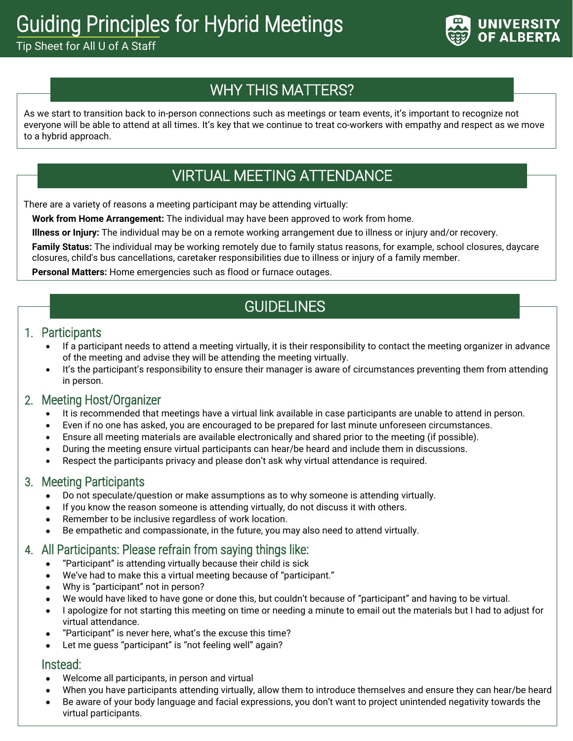# Guiding Principles for Hybrid Meetings

Tip Sheet for All U of A Staff



# WHY THIS MATTERS?

As we start to transition back to in-person connections such as meetings or team events, it's important to recognize not everyone will be able to attend at all times. It's key that we continue to treat co-workers with empathy and respect as we move to a hybrid approach.

### VIRTUAL MEETING ATTENDANCE

There are a variety of reasons a meeting participant may be attending virtually:

**Work from Home Arrangement:** The individual may have been approved to work from home.

**Illness or Injury:** The individual may be on a remote working arrangement due to illness or injury and/or recovery.

**Family Status:** The individual may be working remotely due to family status reasons, for example, school closures, daycare closures, child's bus cancellations, caretaker responsibilities due to illness or injury of a family member.

**Personal Matters:** Home emergencies such as flood or furnace outages.

# **GUIDELINES**

#### 1. Participants

- If a participant needs to attend a meeting virtually, it is their responsibility to contact the meeting organizer in advance of the meeting and advise they will be attending the meeting virtually.
- It's the participant's responsibility to ensure their manager is aware of circumstances preventing them from attending in person.

#### 2. Meeting Host/Organizer

- It is recommended that meetings have a virtual link available in case participants are unable to attend in person.
- Even if no one has asked, you are encouraged to be prepared for last minute unforeseen circumstances.
- Ensure all meeting materials are available electronically and shared prior to the meeting (if possible).
- During the meeting ensure virtual participants can hear/be heard and include them in discussions.
- Respect the participants privacy and please don't ask why virtual attendance is required.

#### 3. Meeting Participants

- Do not speculate/question or make assumptions as to why someone is attending virtually.
- If you know the reason someone is attending virtually, do not discuss it with others.
- Remember to be inclusive regardless of work location.
- Be empathetic and compassionate, in the future, you may also need to attend virtually.

### 4. All Participants: Please refrain from saying things like:

- "Participant" is attending virtually because their child is sick
- We've had to make this a virtual meeting because of "participant."
- Why is "participant" not in person?
- We would have liked to have gone or done this, but couldn't because of "participant" and having to be virtual.
- I apologize for not starting this meeting on time or needing a minute to email out the materials but I had to adjust for virtual attendance.
- "Participant" is never here, what's the excuse this time?
- Let me guess "participant" is "not feeling well" again?

#### Instead:

- Welcome all participants, in person and virtual
- When you have participants attending virtually, allow them to introduce themselves and ensure they can hear/be heard
- Be aware of your body language and facial expressions, you don't want to project unintended negativity towards the virtual participants.